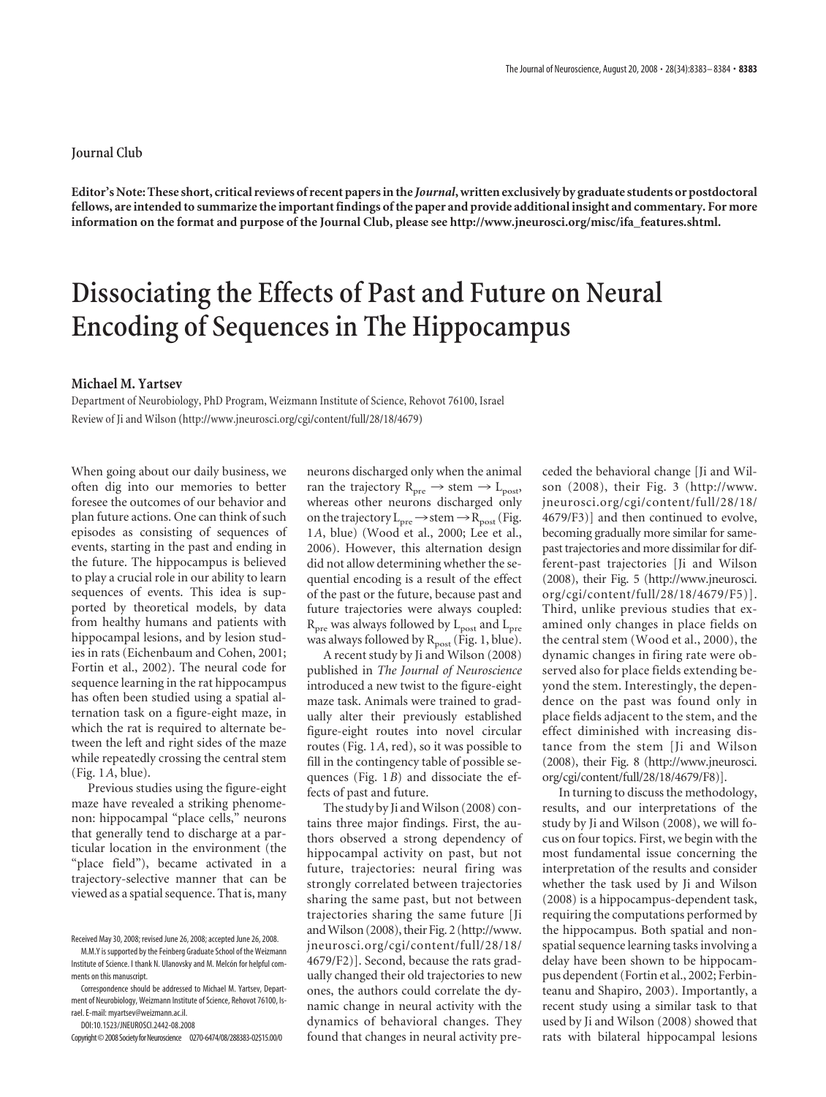## **Journal Club**

**Editor's Note: These short, critical reviews of recent papers in the** *Journal***, written exclusively by graduate students or postdoctoral fellows, are intended to summarize the important findings of the paper and provide additional insight and commentary. For more information on the format and purpose of the Journal Club, please see http://www.jneurosci.org/misc/ifa\_features.shtml.**

## **Dissociating the Effects of Past and Future on Neural Encoding of Sequences in The Hippocampus**

## **Michael M. Yartsev**

Department of Neurobiology, PhD Program, Weizmann Institute of Science, Rehovot 76100, Israel Review of Ji and Wilson (http://www.jneurosci.org/cgi/content/full/28/18/4679)

When going about our daily business, we often dig into our memories to better foresee the outcomes of our behavior and plan future actions. One can think of such episodes as consisting of sequences of events, starting in the past and ending in the future. The hippocampus is believed to play a crucial role in our ability to learn sequences of events. This idea is supported by theoretical models, by data from healthy humans and patients with hippocampal lesions, and by lesion studies in rats (Eichenbaum and Cohen, 2001; Fortin et al., 2002). The neural code for sequence learning in the rat hippocampus has often been studied using a spatial alternation task on a figure-eight maze, in which the rat is required to alternate between the left and right sides of the maze while repeatedly crossing the central stem (Fig. 1*A*, blue).

Previous studies using the figure-eight maze have revealed a striking phenomenon: hippocampal "place cells," neurons that generally tend to discharge at a particular location in the environment (the "place field"), became activated in a trajectory-selective manner that can be viewed as a spatial sequence. That is, many

DOI:10.1523/JNEUROSCI.2442-08.2008

neurons discharged only when the animal ran the trajectory  $R_{pre} \rightarrow$  stem  $\rightarrow$  L<sub>post</sub>, whereas other neurons discharged only on the trajectory  $L_{pre} \rightarrow$  stem  $\rightarrow R_{post}$  (Fig. 1*A*, blue) (Wood et al., 2000; Lee et al., 2006). However, this alternation design did not allow determining whether the sequential encoding is a result of the effect of the past or the future, because past and future trajectories were always coupled:  $R_{\text{pre}}$  was always followed by  $L_{\text{post}}$  and  $L_{\text{pre}}$ was always followed by  $R_{post}$  (Fig. 1, blue).

A recent study by Ji and Wilson (2008) published in *The Journal of Neuroscience* introduced a new twist to the figure-eight maze task. Animals were trained to gradually alter their previously established figure-eight routes into novel circular routes (Fig. 1*A*, red), so it was possible to fill in the contingency table of possible sequences (Fig. 1*B*) and dissociate the effects of past and future.

The study by Ji and Wilson (2008) contains three major findings. First, the authors observed a strong dependency of hippocampal activity on past, but not future, trajectories: neural firing was strongly correlated between trajectories sharing the same past, but not between trajectories sharing the same future [Ji andWilson (2008), their Fig. 2 (http://www. jneurosci.org/cgi/content/full/28/18/ 4679/F2)]. Second, because the rats gradually changed their old trajectories to new ones, the authors could correlate the dynamic change in neural activity with the dynamics of behavioral changes. They found that changes in neural activity pre-

ceded the behavioral change [Ji and Wilson (2008), their Fig. 3 (http://www. jneurosci.org/cgi/content/full/28/18/ 4679/F3)] and then continued to evolve, becoming gradually more similar for samepast trajectories and more dissimilar for different-past trajectories [Ji and Wilson (2008), their Fig. 5 (http://www.jneurosci. org/cgi/content/full/28/18/4679/F5)]. Third, unlike previous studies that examined only changes in place fields on the central stem (Wood et al., 2000), the dynamic changes in firing rate were observed also for place fields extending beyond the stem. Interestingly, the dependence on the past was found only in place fields adjacent to the stem, and the effect diminished with increasing distance from the stem [Ji and Wilson (2008), their Fig. 8 (http://www.jneurosci. org/cgi/content/full/28/18/4679/F8)].

In turning to discuss the methodology, results, and our interpretations of the study by Ji and Wilson (2008), we will focus on four topics. First, we begin with the most fundamental issue concerning the interpretation of the results and consider whether the task used by Ji and Wilson (2008) is a hippocampus-dependent task, requiring the computations performed by the hippocampus. Both spatial and nonspatial sequence learning tasks involving a delay have been shown to be hippocampus dependent (Fortin et al., 2002; Ferbinteanu and Shapiro, 2003). Importantly, a recent study using a similar task to that used by Ji and Wilson (2008) showed that rats with bilateral hippocampal lesions

Received May 30, 2008; revised June 26, 2008; accepted June 26, 2008.

M.M.Y is supported by the Feinberg Graduate School of the Weizmann Institute of Science. I thank N. Ulanovsky and M. Melcón for helpful comments on this manuscript.

Correspondence should be addressed to Michael M. Yartsev, Department of Neurobiology, Weizmann Institute of Science, Rehovot 76100, Israel. E-mail: myartsev@weizmann.ac.il.

Copyright©2008SocietyforNeuroscience 0270-6474/08/288383-02\$15.00/0